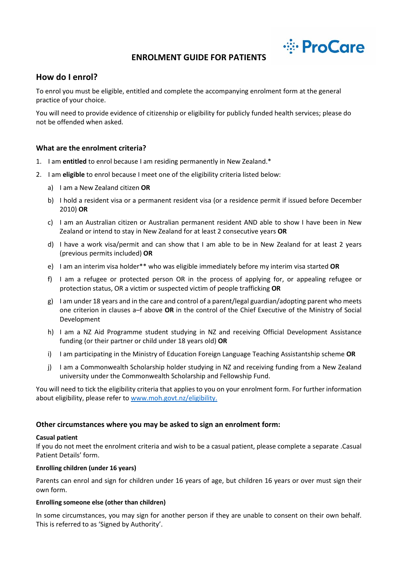

# **ENROLMENT GUIDE FOR PATIENTS**

# **How do I enrol?**

To enrol you must be eligible, entitled and complete the accompanying enrolment form at the general practice of your choice.

You will need to provide evidence of citizenship or eligibility for publicly funded health services; please do not be offended when asked.

#### **What are the enrolment criteria?**

- 1. I am **entitled** to enrol because I am residing permanently in New Zealand.\*
- 2. I am **eligible** to enrol because I meet one of the eligibility criteria listed below:
	- a) I am a New Zealand citizen **OR**
	- b) I hold a resident visa or a permanent resident visa (or a residence permit if issued before December 2010) **OR**
	- c) I am an Australian citizen or Australian permanent resident AND able to show I have been in New Zealand or intend to stay in New Zealand for at least 2 consecutive years **OR**
	- d) I have a work visa/permit and can show that I am able to be in New Zealand for at least 2 years (previous permits included) **OR**
	- e) I am an interim visa holder\*\* who was eligible immediately before my interim visa started **OR**
	- f) I am a refugee or protected person OR in the process of applying for, or appealing refugee or protection status, OR a victim or suspected victim of people trafficking **OR**
	- g) I am under 18 years and in the care and control of a parent/legal guardian/adopting parent who meets one criterion in clauses a–f above **OR** in the control of the Chief Executive of the Ministry of Social Development
	- h) I am a NZ Aid Programme student studying in NZ and receiving Official Development Assistance funding (or their partner or child under 18 years old) **OR**
	- i) I am participating in the Ministry of Education Foreign Language Teaching Assistantship scheme **OR**
	- j) I am a Commonwealth Scholarship holder studying in NZ and receiving funding from a New Zealand university under the Commonwealth Scholarship and Fellowship Fund.

You will need to tick the eligibility criteria that applies to you on your enrolment form. For further information about eligibility, please refer to [www.moh.govt.nz/eligibility.](http://www.moh.govt.nz/eligibility)

#### **Other circumstances where you may be asked to sign an enrolment form:**

#### **Casual patient**

If you do not meet the enrolment criteria and wish to be a casual patient, please complete a separate .Casual Patient Details' form.

#### **Enrolling children (under 16 years)**

Parents can enrol and sign for children under 16 years of age, but children 16 years or over must sign their own form.

#### **Enrolling someone else (other than children)**

In some circumstances, you may sign for another person if they are unable to consent on their own behalf. This is referred to as 'Signed by Authority'.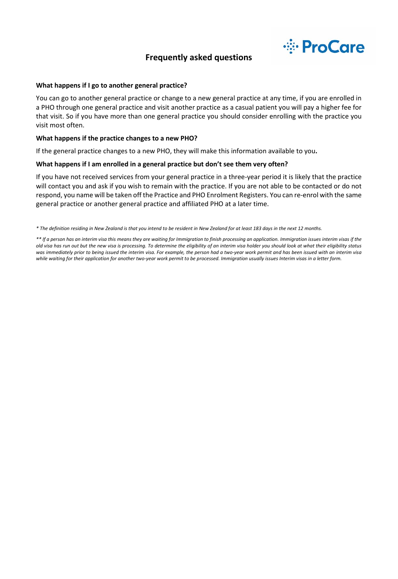

# **Frequently asked questions**

#### **What happens if I go to another general practice?**

You can go to another general practice or change to a new general practice at any time, if you are enrolled in a PHO through one general practice and visit another practice as a casual patient you will pay a higher fee for that visit. So if you have more than one general practice you should consider enrolling with the practice you visit most often.

#### **What happens if the practice changes to a new PHO?**

If the general practice changes to a new PHO, they will make this information available to you**.**

#### **What happens if I am enrolled in a general practice but don't see them very often?**

If you have not received services from your general practice in a three-year period it is likely that the practice will contact you and ask if you wish to remain with the practice. If you are not able to be contacted or do not respond, you name will be taken off the Practice and PHO Enrolment Registers. You can re-enrol with the same general practice or another general practice and affiliated PHO at a later time.

*\* The definition residing in New Zealand is that you intend to be resident in New Zealand for at least 183 days in the next 12 months.*

*<sup>\*\*</sup> If a person has an interim visa this means they are waiting for Immigration to finish processing an application. Immigration issues interim visas if the old visa has run out but the new visa is processing. To determine the eligibility of an interim visa holder you should look at what their eligibility status*  was immediately prior to being issued the interim visa. For example, the person had a two-year work permit and has been issued with an interim visa *while waiting for their application for another two-year work permit to be processed. Immigration usually issues Interim visas in a letter form.*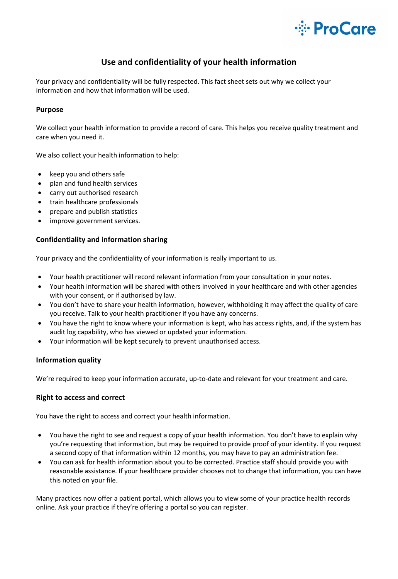

# **Use and confidentiality of your health information**

Your privacy and confidentiality will be fully respected. This fact sheet sets out why we collect your information and how that information will be used.

# **Purpose**

We collect your health information to provide a record of care. This helps you receive quality treatment and care when you need it.

We also collect your health information to help:

- keep you and others safe
- plan and fund health services
- carry out authorised research
- train healthcare professionals
- prepare and publish statistics
- improve government services.

## **Confidentiality and information sharing**

Your privacy and the confidentiality of your information is really important to us.

- Your health practitioner will record relevant information from your consultation in your notes.
- Your health information will be shared with others involved in your healthcare and with other agencies with your consent, or if authorised by law.
- You don't have to share your health information, however, withholding it may affect the quality of care you receive. Talk to your health practitioner if you have any concerns.
- You have the right to know where your information is kept, who has access rights, and, if the system has audit log capability, who has viewed or updated your information.
- Your information will be kept securely to prevent unauthorised access.

## **Information quality**

We're required to keep your information accurate, up-to-date and relevant for your treatment and care.

## **Right to access and correct**

You have the right to access and correct your health information.

- You have the right to see and request a copy of your health information. You don't have to explain why you're requesting that information, but may be required to provide proof of your identity. If you request a second copy of that information within 12 months, you may have to pay an administration fee.
- You can ask for health information about you to be corrected. Practice staff should provide you with reasonable assistance. If your healthcare provider chooses not to change that information, you can have this noted on your file.

Many practices now offer a patient portal, which allows you to view some of your practice health records online. Ask your practice if they're offering a portal so you can register.